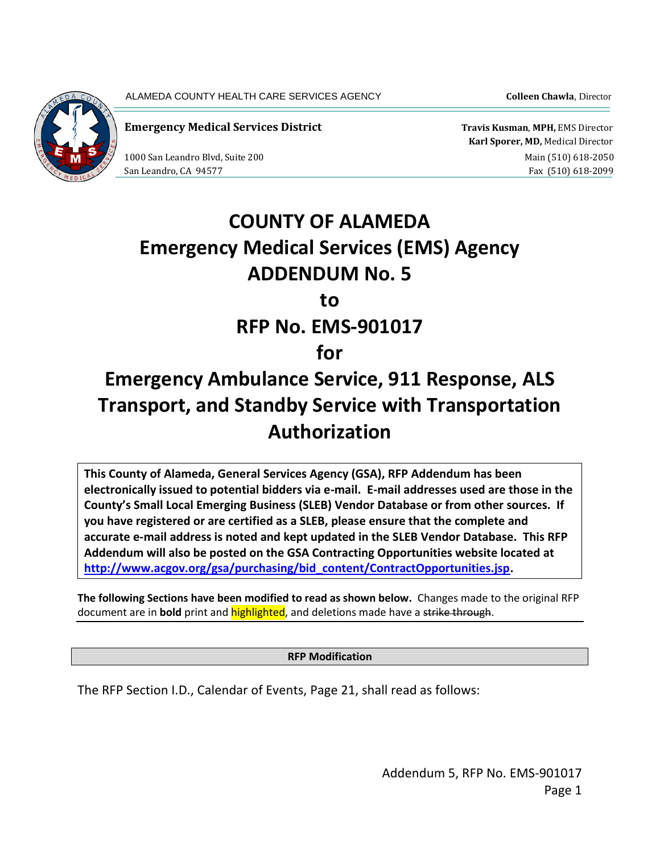ALAMEDA COUNTY HEALTH CARE SERVICES AGENCY **Colleen Chawla**, Director



**Emergency Medical Services District Travis Kusman**, **MPH,** EMS Director

 **Karl Sporer, MD,** Medical Director 1000 San Leandro Blvd, Suite 200 and Suite 200 main (510) 618-2050 San Leandro, CA 94577 Fax (510) 618-2099

# **COUNTY OF ALAMEDA Emergency Medical Services (EMS) Agency ADDENDUM No. 5 to RFP No. EMS-901017 for**

## **Emergency Ambulance Service, 911 Response, ALS Transport, and Standby Service with Transportation Authorization**

**This County of Alameda, General Services Agency (GSA), RFP Addendum has been electronically issued to potential bidders via e-mail. E-mail addresses used are those in the County's Small Local Emerging Business (SLEB) Vendor Database or from other sources. If you have registered or are certified as a SLEB, please ensure that the complete and accurate e-mail address is noted and kept updated in the SLEB Vendor Database. This RFP Addendum will also be posted on the GSA Contracting Opportunities website located at [http://www.acgov.org/gsa/purchasing/bid\\_content/ContractOpportunities.jsp.](http://www.acgov.org/gsa/purchasing/bid_content/ContractOpportunities.jsp)**

**The following Sections have been modified to read as shown below.** Changes made to the original RFP document are in **bold** print and highlighted, and deletions made have a strike through.

**RFP Modification**

The RFP Section I.D., Calendar of Events, Page 21, shall read as follows: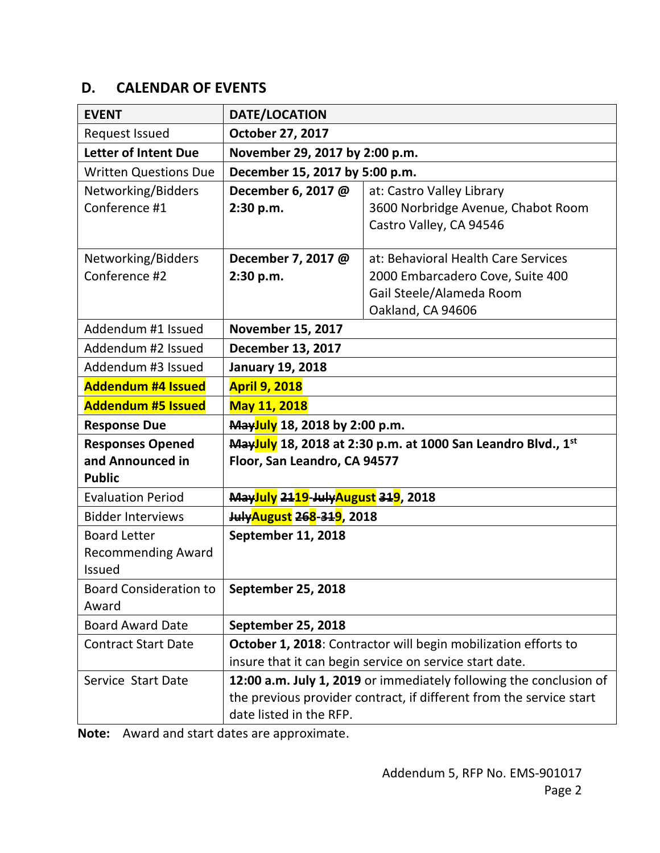## **D. CALENDAR OF EVENTS**

| <b>EVENT</b>                  | DATE/LOCATION                                                |                                                                     |
|-------------------------------|--------------------------------------------------------------|---------------------------------------------------------------------|
| Request Issued                | October 27, 2017                                             |                                                                     |
| <b>Letter of Intent Due</b>   | November 29, 2017 by 2:00 p.m.                               |                                                                     |
| <b>Written Questions Due</b>  | December 15, 2017 by 5:00 p.m.                               |                                                                     |
| Networking/Bidders            | December 6, 2017 @                                           | at: Castro Valley Library                                           |
| Conference #1                 | 2:30 p.m.                                                    | 3600 Norbridge Avenue, Chabot Room                                  |
|                               |                                                              | Castro Valley, CA 94546                                             |
| Networking/Bidders            | December 7, 2017 @                                           | at: Behavioral Health Care Services                                 |
| Conference #2                 | 2:30 p.m.                                                    | 2000 Embarcadero Cove, Suite 400                                    |
|                               |                                                              | Gail Steele/Alameda Room                                            |
|                               |                                                              | Oakland, CA 94606                                                   |
| Addendum #1 Issued            | <b>November 15, 2017</b>                                     |                                                                     |
| Addendum #2 Issued            | <b>December 13, 2017</b>                                     |                                                                     |
| Addendum #3 Issued            | <b>January 19, 2018</b>                                      |                                                                     |
| <b>Addendum #4 Issued</b>     | <b>April 9, 2018</b>                                         |                                                                     |
| <b>Addendum #5 Issued</b>     | <b>May 11, 2018</b>                                          |                                                                     |
| <b>Response Due</b>           | Mayluly 18, 2018 by 2:00 p.m.                                |                                                                     |
| <b>Responses Opened</b>       | Mayluly 18, 2018 at 2:30 p.m. at 1000 San Leandro Blvd., 1st |                                                                     |
| and Announced in              | Floor, San Leandro, CA 94577                                 |                                                                     |
| <b>Public</b>                 |                                                              |                                                                     |
| <b>Evaluation Period</b>      | <b>May<mark>July</mark> 2119-JulyAugust 319</b> , 2018       |                                                                     |
| <b>Bidder Interviews</b>      | <b>JulyAugust 268-319, 2018</b>                              |                                                                     |
| <b>Board Letter</b>           | September 11, 2018                                           |                                                                     |
| <b>Recommending Award</b>     |                                                              |                                                                     |
| <b>Issued</b>                 |                                                              |                                                                     |
| <b>Board Consideration to</b> | September 25, 2018                                           |                                                                     |
| Award                         |                                                              |                                                                     |
| <b>Board Award Date</b>       | September 25, 2018                                           |                                                                     |
| <b>Contract Start Date</b>    |                                                              | October 1, 2018: Contractor will begin mobilization efforts to      |
|                               |                                                              | insure that it can begin service on service start date.             |
| Service Start Date            |                                                              | 12:00 a.m. July 1, 2019 or immediately following the conclusion of  |
|                               |                                                              | the previous provider contract, if different from the service start |
|                               | date listed in the RFP.                                      |                                                                     |

**Note:** Award and start dates are approximate.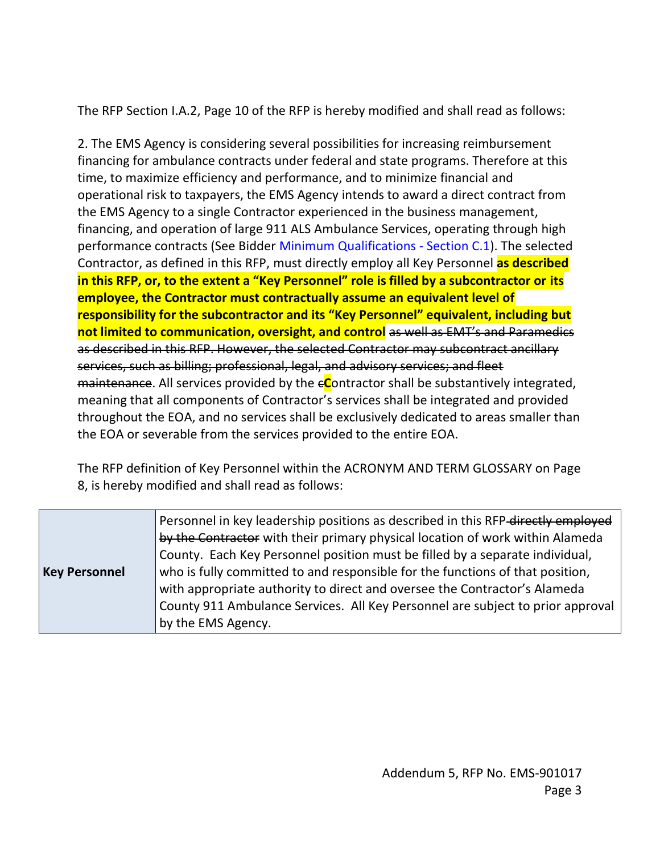The RFP Section I.A.2, Page 10 of the RFP is hereby modified and shall read as follows:

2. The EMS Agency is considering several possibilities for increasing reimbursement financing for ambulance contracts under federal and state programs. Therefore at this time, to maximize efficiency and performance, and to minimize financial and operational risk to taxpayers, the EMS Agency intends to award a direct contract from the EMS Agency to a single Contractor experienced in the business management, financing, and operation of large 911 ALS Ambulance Services, operating through high performance contracts (See Bidder Minimum Qualifications - Section C.1). The selected Contractor, as defined in this RFP, must directly employ all Key Personnel **as described in this RFP, or, to the extent a "Key Personnel" role is filled by a subcontractor or its employee, the Contractor must contractually assume an equivalent level of responsibility for the subcontractor and its "Key Personnel" equivalent, including but not limited to communication, oversight, and control** as well as EMT's and Paramedics as described in this RFP. However, the selected Contractor may subcontract ancillary services, such as billing; professional, legal, and advisory services; and fleet maintenance. All services provided by the e**C**ontractor shall be substantively integrated, meaning that all components of Contractor's services shall be integrated and provided throughout the EOA, and no services shall be exclusively dedicated to areas smaller than the EOA or severable from the services provided to the entire EOA.

The RFP definition of Key Personnel within the ACRONYM AND TERM GLOSSARY on Page 8, is hereby modified and shall read as follows:

|                                                                                                       | Personnel in key leadership positions as described in this RFP-directly employed |
|-------------------------------------------------------------------------------------------------------|----------------------------------------------------------------------------------|
|                                                                                                       | by the Contractor with their primary physical location of work within Alameda    |
|                                                                                                       | County. Each Key Personnel position must be filled by a separate individual,     |
| who is fully committed to and responsible for the functions of that position,<br><b>Key Personnel</b> |                                                                                  |
|                                                                                                       | with appropriate authority to direct and oversee the Contractor's Alameda        |
|                                                                                                       | County 911 Ambulance Services. All Key Personnel are subject to prior approval   |
|                                                                                                       | by the EMS Agency.                                                               |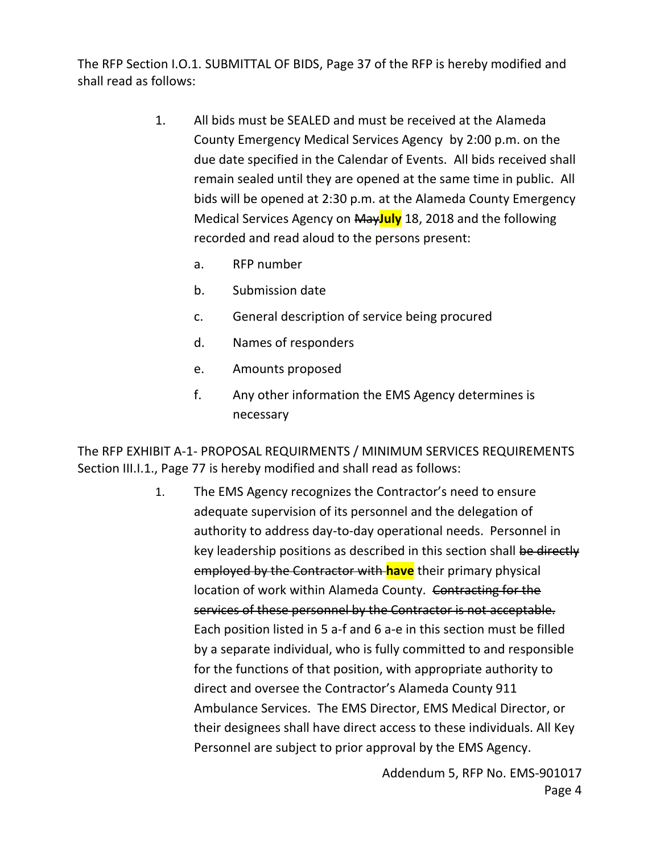The RFP Section I.O.1. SUBMITTAL OF BIDS, Page 37 of the RFP is hereby modified and shall read as follows:

- 1. All bids must be SEALED and must be received at the Alameda County Emergency Medical Services Agency by 2:00 p.m. on the due date specified in the Calendar of Events. All bids received shall remain sealed until they are opened at the same time in public. All bids will be opened at 2:30 p.m. at the Alameda County Emergency Medical Services Agency on May**July** 18, 2018 and the following recorded and read aloud to the persons present:
	- a. RFP number
	- b. Submission date
	- c. General description of service being procured
	- d. Names of responders
	- e. Amounts proposed
	- f. Any other information the EMS Agency determines is necessary

The RFP EXHIBIT A-1- PROPOSAL REQUIRMENTS / MINIMUM SERVICES REQUIREMENTS Section III.I.1., Page 77 is hereby modified and shall read as follows:

> 1. The EMS Agency recognizes the Contractor's need to ensure adequate supervision of its personnel and the delegation of authority to address day-to-day operational needs. Personnel in key leadership positions as described in this section shall be directly employed by the Contractor with **have** their primary physical location of work within Alameda County. Contracting for the services of these personnel by the Contractor is not acceptable. Each position listed in 5 a-f and 6 a-e in this section must be filled by a separate individual, who is fully committed to and responsible for the functions of that position, with appropriate authority to direct and oversee the Contractor's Alameda County 911 Ambulance Services. The EMS Director, EMS Medical Director, or their designees shall have direct access to these individuals. All Key Personnel are subject to prior approval by the EMS Agency.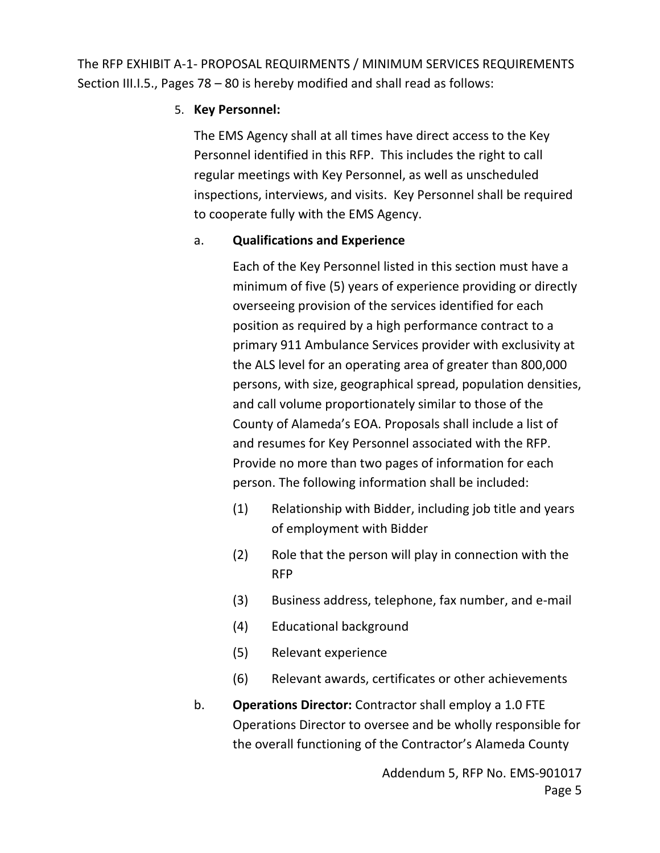The RFP EXHIBIT A-1- PROPOSAL REQUIRMENTS / MINIMUM SERVICES REQUIREMENTS Section III.I.5., Pages 78 – 80 is hereby modified and shall read as follows:

#### 5. **Key Personnel:**

The EMS Agency shall at all times have direct access to the Key Personnel identified in this RFP. This includes the right to call regular meetings with Key Personnel, as well as unscheduled inspections, interviews, and visits. Key Personnel shall be required to cooperate fully with the EMS Agency.

### a. **Qualifications and Experience**

Each of the Key Personnel listed in this section must have a minimum of five (5) years of experience providing or directly overseeing provision of the services identified for each position as required by a high performance contract to a primary 911 Ambulance Services provider with exclusivity at the ALS level for an operating area of greater than 800,000 persons, with size, geographical spread, population densities, and call volume proportionately similar to those of the County of Alameda's EOA. Proposals shall include a list of and resumes for Key Personnel associated with the RFP. Provide no more than two pages of information for each person. The following information shall be included:

- (1) Relationship with Bidder, including job title and years of employment with Bidder
- (2) Role that the person will play in connection with the RFP
- (3) Business address, telephone, fax number, and e-mail
- (4) Educational background
- (5) Relevant experience
- (6) Relevant awards, certificates or other achievements
- b. **Operations Director:** Contractor shall employ a 1.0 FTE Operations Director to oversee and be wholly responsible for the overall functioning of the Contractor's Alameda County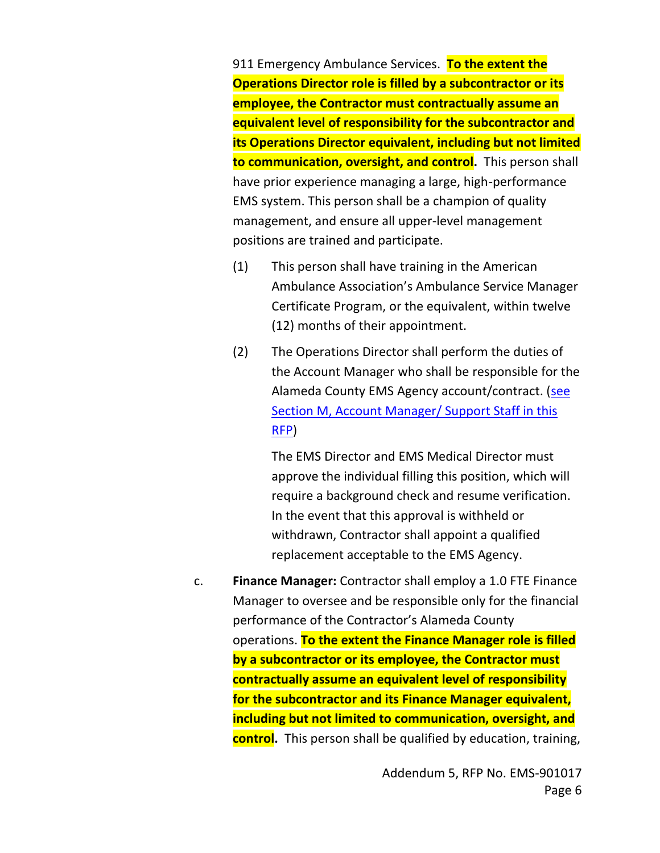911 Emergency Ambulance Services. **To the extent the Operations Director role is filled by a subcontractor or its employee, the Contractor must contractually assume an equivalent level of responsibility for the subcontractor and its Operations Director equivalent, including but not limited to communication, oversight, and control.** This person shall have prior experience managing a large, high-performance EMS system. This person shall be a champion of quality management, and ensure all upper-level management positions are trained and participate.

- (1) This person shall have training in the American Ambulance Association's Ambulance Service Manager Certificate Program, or the equivalent, within twelve (12) months of their appointment.
- (2) The Operations Director shall perform the duties of the Account Manager who shall be responsible for the Alameda County EMS Agency account/contract. (see Section M, Account Manager/ Support Staff in this RFP)

The EMS Director and EMS Medical Director must approve the individual filling this position, which will require a background check and resume verification. In the event that this approval is withheld or withdrawn, Contractor shall appoint a qualified replacement acceptable to the EMS Agency.

c. **Finance Manager:** Contractor shall employ a 1.0 FTE Finance Manager to oversee and be responsible only for the financial performance of the Contractor's Alameda County operations. **To the extent the Finance Manager role is filled by a subcontractor or its employee, the Contractor must contractually assume an equivalent level of responsibility for the subcontractor and its Finance Manager equivalent, including but not limited to communication, oversight, and control.** This person shall be qualified by education, training,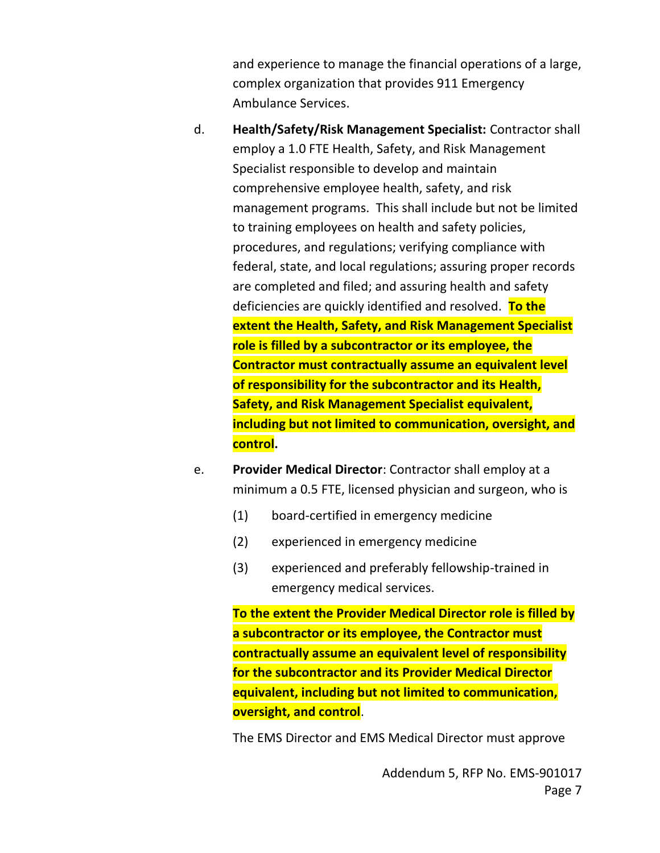and experience to manage the financial operations of a large, complex organization that provides 911 Emergency Ambulance Services.

- d. **Health/Safety/Risk Management Specialist:** Contractor shall employ a 1.0 FTE Health, Safety, and Risk Management Specialist responsible to develop and maintain comprehensive employee health, safety, and risk management programs. This shall include but not be limited to training employees on health and safety policies, procedures, and regulations; verifying compliance with federal, state, and local regulations; assuring proper records are completed and filed; and assuring health and safety deficiencies are quickly identified and resolved. **To the extent the Health, Safety, and Risk Management Specialist role is filled by a subcontractor or its employee, the Contractor must contractually assume an equivalent level of responsibility for the subcontractor and its Health, Safety, and Risk Management Specialist equivalent, including but not limited to communication, oversight, and control.**
- e. **Provider Medical Director**: Contractor shall employ at a minimum a 0.5 FTE, licensed physician and surgeon, who is
	- (1) board-certified in emergency medicine
	- (2) experienced in emergency medicine
	- (3) experienced and preferably fellowship-trained in emergency medical services.

**To the extent the Provider Medical Director role is filled by a subcontractor or its employee, the Contractor must contractually assume an equivalent level of responsibility for the subcontractor and its Provider Medical Director equivalent, including but not limited to communication, oversight, and control**.

The EMS Director and EMS Medical Director must approve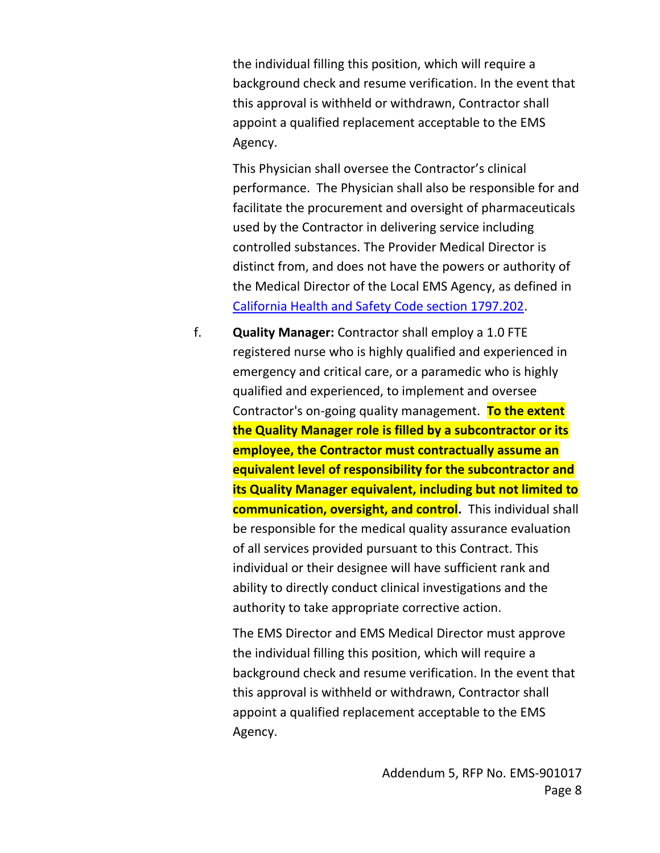the individual filling this position, which will require a background check and resume verification. In the event that this approval is withheld or withdrawn, Contractor shall appoint a qualified replacement acceptable to the EMS Agency.

This Physician shall oversee the Contractor's clinical performance. The Physician shall also be responsible for and facilitate the procurement and oversight of pharmaceuticals used by the Contractor in delivering service including controlled substances. The Provider Medical Director is distinct from, and does not have the powers or authority of the Medical Director of the Local EMS Agency, as defined in [California Health and Safety Code section 1797.202.](http://law.onecle.com/california/health/1797.202.html)

f. **Quality Manager:** Contractor shall employ a 1.0 FTE registered nurse who is highly qualified and experienced in emergency and critical care, or a paramedic who is highly qualified and experienced, to implement and oversee Contractor's on-going quality management. **To the extent the Quality Manager role is filled by a subcontractor or its employee, the Contractor must contractually assume an equivalent level of responsibility for the subcontractor and its Quality Manager equivalent, including but not limited to communication, oversight, and control.** This individual shall be responsible for the medical quality assurance evaluation of all services provided pursuant to this Contract. This individual or their designee will have sufficient rank and ability to directly conduct clinical investigations and the authority to take appropriate corrective action.

The EMS Director and EMS Medical Director must approve the individual filling this position, which will require a background check and resume verification. In the event that this approval is withheld or withdrawn, Contractor shall appoint a qualified replacement acceptable to the EMS Agency.